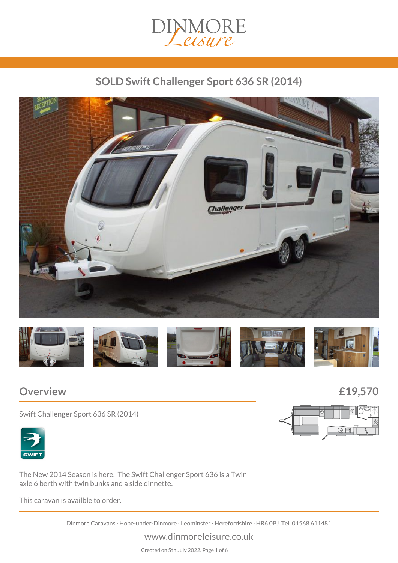# DINMORE

# *SOLD Swift Challenger Sport 636 SR (2014)*





## *Overview £19,570*

*Swift Challenger Sport 636 SR (2014)*



*The New 2014 Season is here. The Swift Challenger Sport 636 is a Twin axle 6 berth with twin bunks and a side dinnette.*

*This caravan is availble to order.*

*Dinmore Caravans · Hope-under-Dinmore · Leominster · Herefordshire · HR6 0PJ Tel. 01568 611481*

*www.dinmoreleisure.co.uk*

*Created on 5th July 2022. Page 1 of 6*



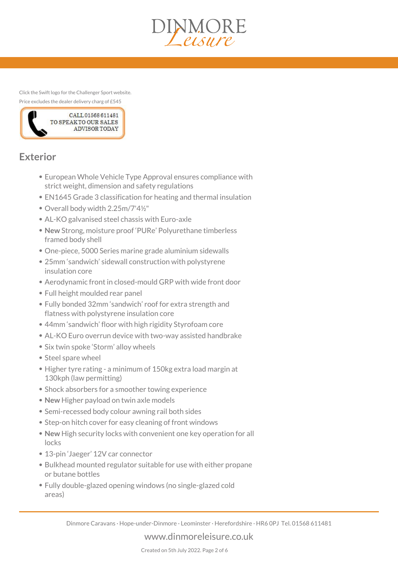

*Click the Swift logo for the Challenger Sport website. Price excludes the dealer delivery charg of £545*



# *Exterior*

- *European Whole Vehicle Type Approval ensures compliance with strict weight, dimension and safety regulations*
- *EN1645 Grade 3 classification for heating and thermal insulation*
- *Overall body width 2.25m/7'4½"*
- *AL-KO galvanised steel chassis with Euro-axle*
- *New Strong, moisture proof 'PURe' Polyurethane timberless framed body shell*
- *One-piece, 5000 Series marine grade aluminium sidewalls*
- *25mm 'sandwich' sidewall construction with polystyrene insulation core*
- *Aerodynamic front in closed-mould GRP with wide front door*
- *Full height moulded rear panel*
- *Fully bonded 32mm 'sandwich' roof for extra strength and flatness with polystyrene insulation core*
- *44mm 'sandwich' floor with high rigidity Styrofoam core*
- *AL-KO Euro overrun device with two-way assisted handbrake*
- *Six twin spoke 'Storm' alloy wheels*
- **Steel spare wheel**
- *Higher tyre rating a minimum of 150kg extra load margin at 130kph (law permitting)*
- *Shock absorbers for a smoother towing experience*
- *New Higher payload on twin axle models*
- *Semi-recessed body colour awning rail both sides*
- *Step-on hitch cover for easy cleaning of front windows*
- *New High security locks with convenient one key operation for all locks*
- *13-pin 'Jaeger' 12V car connector*
- *Bulkhead mounted regulator suitable for use with either propane or butane bottles*
- *Fully double-glazed opening windows (no single-glazed cold areas)*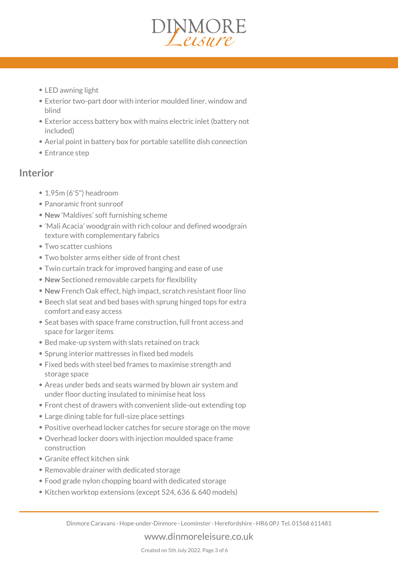

- *LED awning light*
- *Exterior two-part door with interior moulded liner, window and blind*
- *Exterior access battery box with mains electric inlet (battery not included)*
- *Aerial point in battery box for portable satellite dish connection*
- *Entrance step*

#### *Interior*

- *1.95m (6'5") headroom*
- *Panoramic front sunroof*
- *New 'Maldives' soft furnishing scheme*
- *'Mali Acacia' woodgrain with rich colour and defined woodgrain texture with complementary fabrics*
- *Two scatter cushions*
- *Two bolster arms either side of front chest*
- *Twin curtain track for improved hanging and ease of use*
- *New Sectioned removable carpets for flexibility*
- *New French Oak effect, high impact, scratch resistant floor lino*
- *Beech slat seat and bed bases with sprung hinged tops for extra comfort and easy access*
- *Seat bases with space frame construction, full front access and space for larger items*
- *Bed make-up system with slats retained on track*
- *Sprung interior mattresses in fixed bed models*
- *Fixed beds with steel bed frames to maximise strength and storage space*
- *Areas under beds and seats warmed by blown air system and under floor ducting insulated to minimise heat loss*
- *Front chest of drawers with convenient slide-out extending top*
- *Large dining table for full-size place settings*
- *Positive overhead locker catches for secure storage on the move*
- *Overhead locker doors with injection moulded space frame construction*
- *Granite effect kitchen sink*
- *Removable drainer with dedicated storage*
- *Food grade nylon chopping board with dedicated storage*
- *Kitchen worktop extensions (except 524, 636 & 640 models)*

*www.dinmoreleisure.co.uk*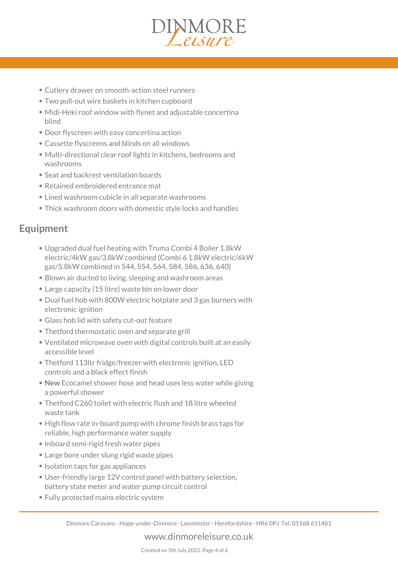

- *Cutlery drawer on smooth-action steel runners*
- *Two pull-out wire baskets in kitchen cupboard*
- *Midi-Heki roof window with flynet and adjustable concertina blind*
- *Door flyscreen with easy concertina action*
- *Cassette flyscreens and blinds on all windows*
- *Multi-directional clear roof lights in kitchens, bedrooms and washrooms*
- *Seat and backrest ventilation boards*
- *Retained embroidered entrance mat*
- *Lined washroom cubicle in all separate washrooms*
- *Thick washroom doors with domestic style locks and handles*

## *Equipment*

- *Upgraded dual fuel heating with Truma Combi 4 Boiler 1.8kW electric/4kW gas/3.8kW combined (Combi 6 1.8kW electric/6kW gas/5.8kW combined in 544, 554, 564, 584, 586, 636, 640)*
- *Blown air ducted to living, sleeping and washroom areas*
- *Large capacity (15 litre) waste bin on lower door*
- *Dual fuel hob with 800W electric hotplate and 3 gas burners with electronic ignition*
- *Glass hob lid with safety cut-out feature*
- *Thetford thermostatic oven and separate grill*
- *Ventilated microwave oven with digital controls built at an easily accessible level*
- *Thetford 113ltr fridge/freezer with electronic ignition, LED controls and a black effect finish*
- *New Ecocamel shower hose and head uses less water while giving a powerful shower*
- *Thetford C260 toilet with electric flush and 18 litre wheeled waste tank*
- *High flow rate in-board pump with chrome finish brass taps for reliable, high performance water supply*
- *Inboard semi-rigid fresh water pipes*
- *Large bore under slung rigid waste pipes*
- *Isolation taps for gas appliances*
- *User-friendly large 12V control panel with battery selection, battery state meter and water pump circuit control*
- *Fully protected mains electric system*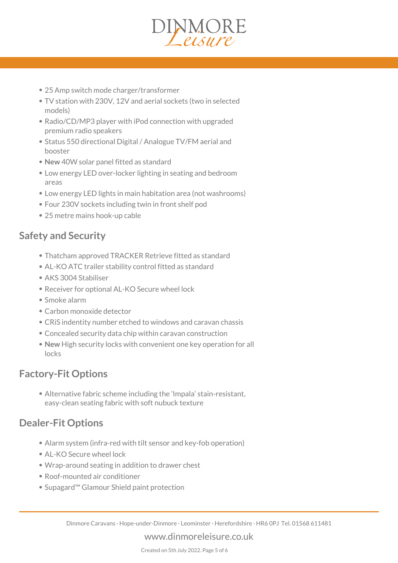

- *25 Amp switch mode charger/transformer*
- *TV station with 230V, 12V and aerial sockets (two in selected models)*
- *Radio/CD/MP3 player with iPod connection with upgraded premium radio speakers*
- *Status 550 directional Digital / Analogue TV/FM aerial and booster*
- *New 40W solar panel fitted as standard*
- *Low energy LED over-locker lighting in seating and bedroom areas*
- *Low energy LED lights in main habitation area (not washrooms)*
- *Four 230V sockets including twin in front shelf pod*
- *25 metre mains hook-up cable*

#### *Safety and Security*

- *Thatcham approved TRACKER Retrieve fitted as standard*
- *AL-KO ATC trailer stability control fitted as standard*
- *AKS 3004 Stabiliser*
- *Receiver for optional AL-KO Secure wheel lock*
- *Smoke alarm*
- *Carbon monoxide detector*
- *CRiS indentity number etched to windows and caravan chassis*
- *Concealed security data chip within caravan construction*
- *New High security locks with convenient one key operation for all locks*

#### *Factory-Fit Options*

*Alternative fabric scheme including the 'Impala' stain-resistant, easy-clean seating fabric with soft nubuck texture*

## *Dealer-Fit Options*

- *Alarm system (infra-red with tilt sensor and key-fob operation)*
- *AL-KO Secure wheel lock*
- *Wrap-around seating in addition to drawer chest*
- *Roof-mounted air conditioner*
- *Supagard™ Glamour Shield paint protection*

*www.dinmoreleisure.co.uk*